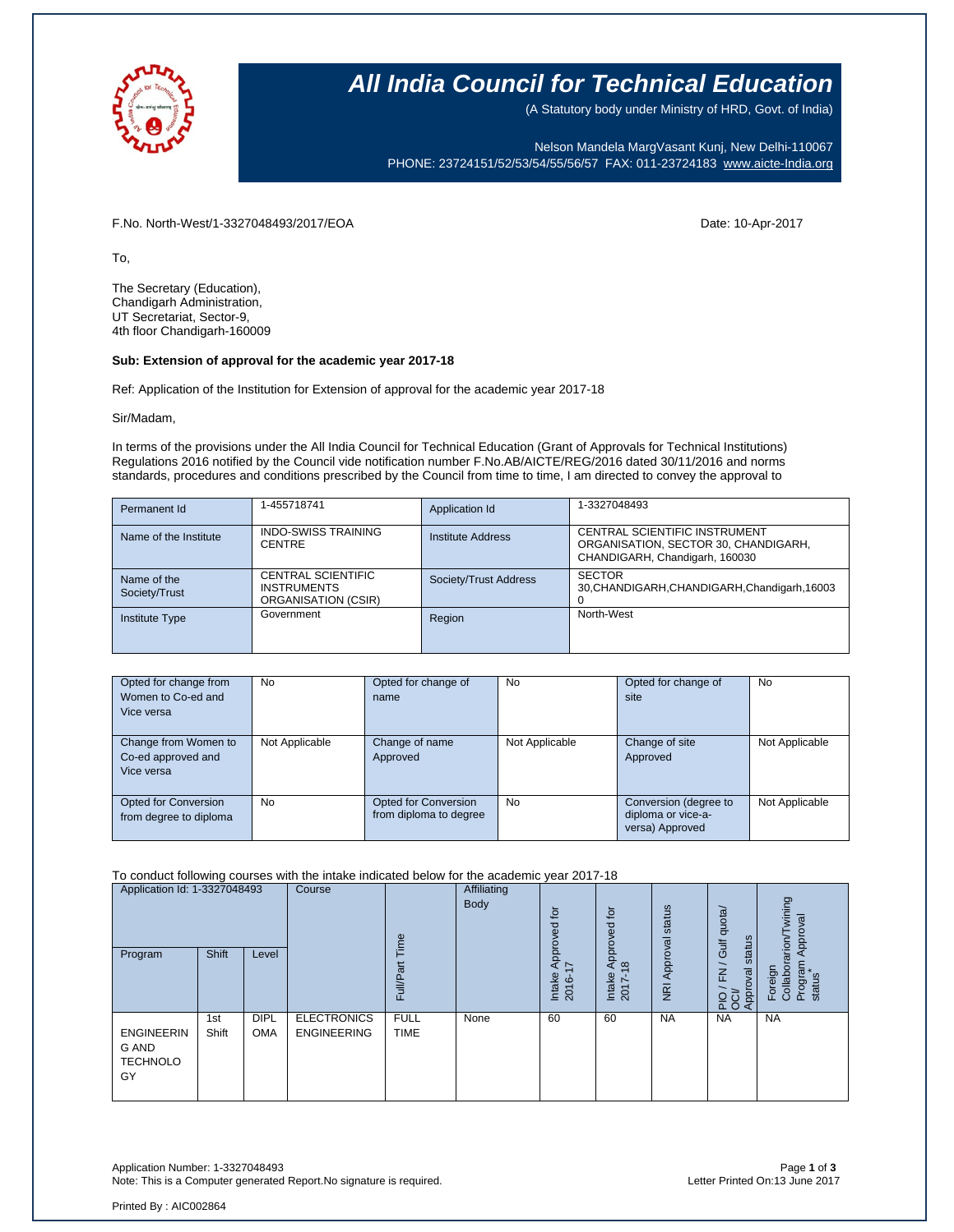

### **All India Council for Technical Education**

(A Statutory body under Ministry of HRD, Govt. of India)

Nelson Mandela MargVasant Kunj, New Delhi-110067 PHONE: 23724151/52/53/54/55/56/57 FAX: 011-23724183 [www.aicte-India.org](http://www.aicte-india.org/)

F.No. North-West/1-3327048493/2017/EOA Date: 10-Apr-2017

To,

The Secretary (Education), Chandigarh Administration, UT Secretariat, Sector-9, 4th floor Chandigarh-160009

#### **Sub: Extension of approval for the academic year 2017-18**

Ref: Application of the Institution for Extension of approval for the academic year 2017-18

Sir/Madam,

In terms of the provisions under the All India Council for Technical Education (Grant of Approvals for Technical Institutions) Regulations 2016 notified by the Council vide notification number F.No.AB/AICTE/REG/2016 dated 30/11/2016 and norms standards, procedures and conditions prescribed by the Council from time to time, I am directed to convey the approval to

| Permanent Id                 | 1-455718741                                                            | Application Id        | 1-3327048493                                                                                            |
|------------------------------|------------------------------------------------------------------------|-----------------------|---------------------------------------------------------------------------------------------------------|
| Name of the Institute        | <b>INDO-SWISS TRAINING</b><br><b>CENTRE</b>                            | Institute Address     | CENTRAL SCIENTIFIC INSTRUMENT<br>ORGANISATION, SECTOR 30, CHANDIGARH,<br>CHANDIGARH, Chandigarh, 160030 |
| Name of the<br>Society/Trust | <b>CENTRAL SCIENTIFIC</b><br><b>INSTRUMENTS</b><br>ORGANISATION (CSIR) | Society/Trust Address | <b>SECTOR</b><br>30, CHANDIGARH, CHANDIGARH, Chandigarh, 16003                                          |
| <b>Institute Type</b>        | Government                                                             | Region                | North-West                                                                                              |

| Opted for change from<br>Women to Co-ed and<br>Vice versa | No             | Opted for change of<br>name                           | <b>No</b>      | Opted for change of<br>site                                    | <b>No</b>      |
|-----------------------------------------------------------|----------------|-------------------------------------------------------|----------------|----------------------------------------------------------------|----------------|
| Change from Women to<br>Co-ed approved and<br>Vice versa  | Not Applicable | Change of name<br>Approved                            | Not Applicable | Change of site<br>Approved                                     | Not Applicable |
| Opted for Conversion<br>from degree to diploma            | No             | <b>Opted for Conversion</b><br>from diploma to degree | <b>No</b>      | Conversion (degree to<br>diploma or vice-a-<br>versa) Approved | Not Applicable |

#### To conduct following courses with the intake indicated below for the academic year 2017-18

| Application Id: 1-3327048493<br>Program             | Shift        | Level                     | Course                                   | lme<br>Full/Par            | Affiliating<br>Body | $\overline{p}$<br>ರ<br>ppro<br>ィる<br>Intake<br>$\circ$<br>201 | .pt<br>ಠ<br>ĭδ<br>$\frac{1}{2}$<br>$\infty$<br>Intake<br>2017- | status<br>Approval<br>$\overline{g}$ | Gulf quota/<br>status<br>$\geq$<br>pproval<br>운영<br>$\bar{d}$ | wining<br>Approval<br>rarion/<br>Foreign<br>Collabor<br>Program<br>status |
|-----------------------------------------------------|--------------|---------------------------|------------------------------------------|----------------------------|---------------------|---------------------------------------------------------------|----------------------------------------------------------------|--------------------------------------|---------------------------------------------------------------|---------------------------------------------------------------------------|
| <b>ENGINEERIN</b><br>G AND<br><b>TECHNOLO</b><br>GY | 1st<br>Shift | <b>DIPL</b><br><b>OMA</b> | <b>ELECTRONICS</b><br><b>ENGINEERING</b> | <b>FULL</b><br><b>TIME</b> | None                | 60                                                            | 60                                                             | <b>NA</b>                            | <b>NA</b>                                                     | <b>NA</b>                                                                 |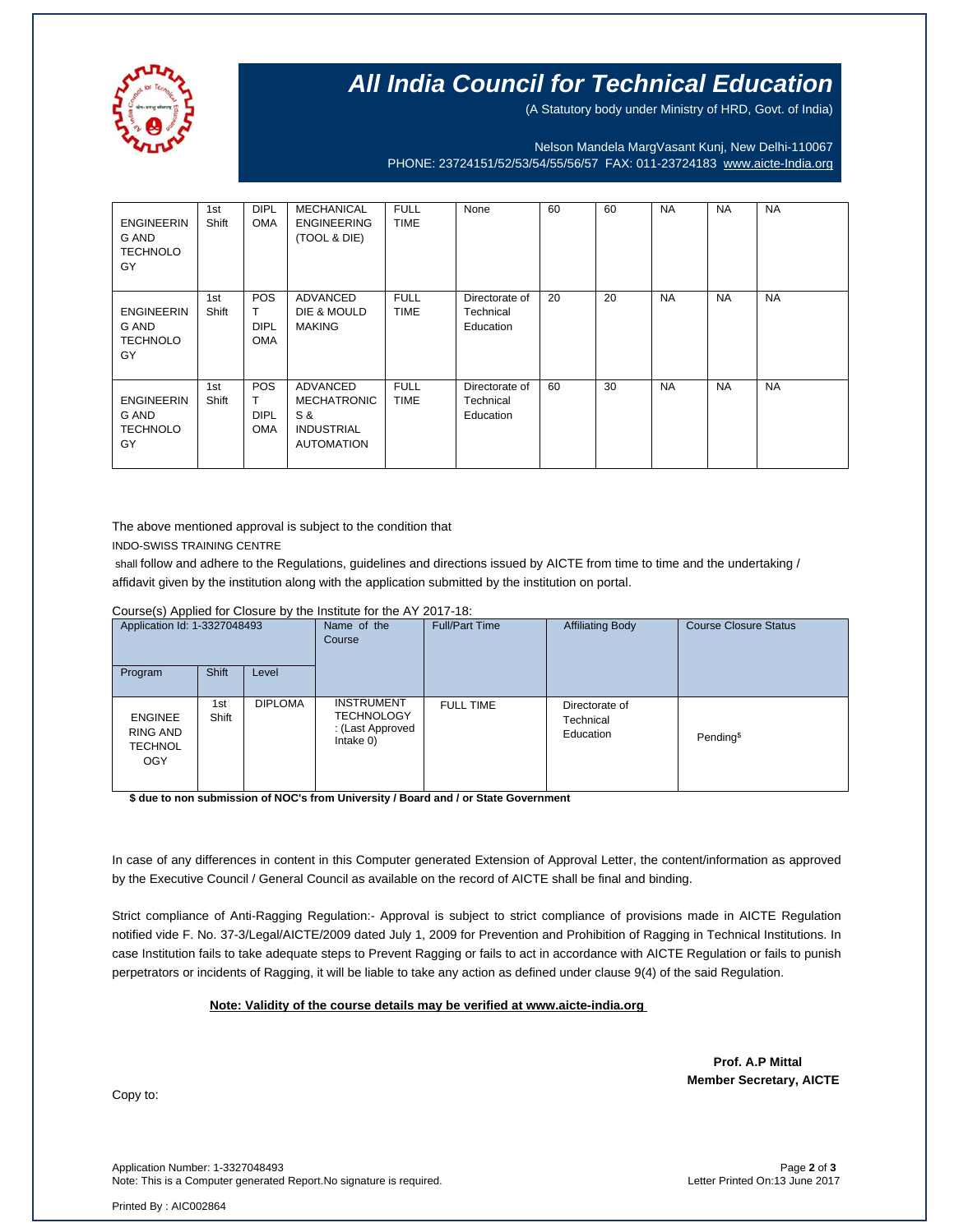

# **All India Council for Technical Education**

(A Statutory body under Ministry of HRD, Govt. of India)

Nelson Mandela MargVasant Kunj, New Delhi-110067 PHONE: 23724151/52/53/54/55/56/57 FAX: 011-23724183 [www.aicte-India.org](http://www.aicte-india.org/)

| <b>ENGINEERIN</b><br>G AND<br><b>TECHNOLO</b><br>GY | 1st<br>Shift | <b>DIPL</b><br><b>OMA</b>                    | <b>MECHANICAL</b><br><b>ENGINEERING</b><br>(TOOL & DIE)                         | <b>FULL</b><br><b>TIME</b> | None                                     | 60 | 60 | <b>NA</b> | <b>NA</b> | <b>NA</b> |
|-----------------------------------------------------|--------------|----------------------------------------------|---------------------------------------------------------------------------------|----------------------------|------------------------------------------|----|----|-----------|-----------|-----------|
| <b>ENGINEERIN</b><br>G AND<br><b>TECHNOLO</b><br>GY | 1st<br>Shift | <b>POS</b><br>т<br><b>DIPL</b><br><b>OMA</b> | <b>ADVANCED</b><br>DIE & MOULD<br><b>MAKING</b>                                 | <b>FULL</b><br><b>TIME</b> | Directorate of<br>Technical<br>Education | 20 | 20 | <b>NA</b> | <b>NA</b> | <b>NA</b> |
| <b>ENGINEERIN</b><br>G AND<br><b>TECHNOLO</b><br>GY | 1st<br>Shift | <b>POS</b><br>т<br><b>DIPL</b><br><b>OMA</b> | ADVANCED<br><b>MECHATRONIC</b><br>S &<br><b>INDUSTRIAL</b><br><b>AUTOMATION</b> | <b>FULL</b><br><b>TIME</b> | Directorate of<br>Technical<br>Education | 60 | 30 | <b>NA</b> | <b>NA</b> | <b>NA</b> |

The above mentioned approval is subject to the condition that

INDO-SWISS TRAINING CENTRE

shall follow and adhere to the Regulations, guidelines and directions issued by AICTE from time to time and the undertaking / affidavit given by the institution along with the application submitted by the institution on portal.

Course(s) Applied for Closure by the Institute for the AY 2017-18:

| Application Id: 1-3327048493                        |              | Name of the<br>Course | <b>Full/Part Time</b>                                                      | <b>Affiliating Body</b> | <b>Course Closure Status</b>             |                       |
|-----------------------------------------------------|--------------|-----------------------|----------------------------------------------------------------------------|-------------------------|------------------------------------------|-----------------------|
| Program                                             | <b>Shift</b> | Level                 |                                                                            |                         |                                          |                       |
| <b>ENGINEE</b><br>RING AND<br><b>TECHNOL</b><br>OGY | 1st<br>Shift | <b>DIPLOMA</b>        | <b>INSTRUMENT</b><br><b>TECHNOLOGY</b><br>: (Last Approved<br>Intake $0$ ) | <b>FULL TIME</b>        | Directorate of<br>Technical<br>Education | Pending <sup>\$</sup> |

**\$ due to non submission of NOC's from University / Board and / or State Government**

In case of any differences in content in this Computer generated Extension of Approval Letter, the content/information as approved by the Executive Council / General Council as available on the record of AICTE shall be final and binding.

Strict compliance of Anti-Ragging Regulation:- Approval is subject to strict compliance of provisions made in AICTE Regulation notified vide F. No. 37-3/Legal/AICTE/2009 dated July 1, 2009 for Prevention and Prohibition of Ragging in Technical Institutions. In case Institution fails to take adequate steps to Prevent Ragging or fails to act in accordance with AICTE Regulation or fails to punish perpetrators or incidents of Ragging, it will be liable to take any action as defined under clause 9(4) of the said Regulation.

### **Note: Validity of the course details may be verified at www.aicte-india.org**

 **Prof. A.P Mittal Member Secretary, AICTE**

Copy to:

Application Number: 1-3327048493 Page **2** of **3** Note: This is a Computer generated Report.No signature is required.